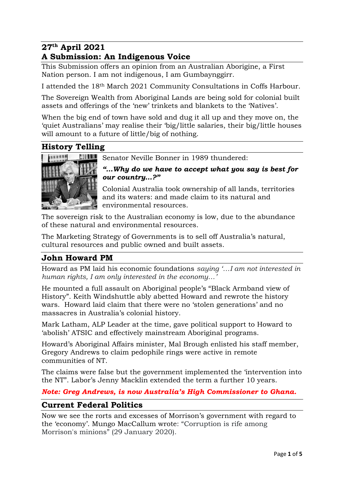## **27 th April 2021 A Submission: An Indigenous Voice**

This Submission offers an opinion from an Australian Aborigine, a First Nation person. I am not indigenous, I am Gumbaynggirr.

I attended the 18th March 2021 Community Consultations in Coffs Harbour.

The Sovereign Wealth from Aboriginal Lands are being sold for colonial built assets and offerings of the 'new' trinkets and blankets to the 'Natives'.

When the big end of town have sold and dug it all up and they move on, the 'quiet Australians' may realise their 'big/little salaries, their big/little houses will amount to a future of little/big of nothing.

# **History Telling**



Senator Neville Bonner in 1989 thundered:

*"…Why do we have to accept what you say is best for our country…?"*

Colonial Australia took ownership of all lands, territories and its waters: and made claim to its natural and environmental resources.

The sovereign risk to the Australian economy is low, due to the abundance of these natural and environmental resources.

The Marketing Strategy of Governments is to sell off Australia's natural, cultural resources and public owned and built assets.

# **John Howard PM**

Howard as PM laid his economic foundations *saying '…I am not interested in human rights, I am only interested in the economy…'*

He mounted a full assault on Aboriginal people's "Black Armband view of History". Keith Windshuttle ably abetted Howard and rewrote the history wars. Howard laid claim that there were no 'stolen generations' and no massacres in Australia's colonial history.

Mark Latham, ALP Leader at the time, gave political support to Howard to 'abolish' ATSIC and effectively mainstream Aboriginal programs.

Howard's Aboriginal Affairs minister, Mal Brough enlisted his staff member, Gregory Andrews to claim pedophile rings were active in remote communities of NT.

The claims were false but the government implemented the 'intervention into the NT". Labor's Jenny Macklin extended the term a further 10 years.

*Note: Greg Andrews, is now Australia's High Commissioner to [Ghana.](https://www.dfat.gov.au/about-us/our-locations/missions/Pages/australian-high-commission-ghana)*

# **Current Federal Politics**

Now we see the rorts and excesses of Morrison's government with regard to the 'economy'. Mungo MacCallum wrote: "Corruption is rife among Morrison's minions" (29 January 2020).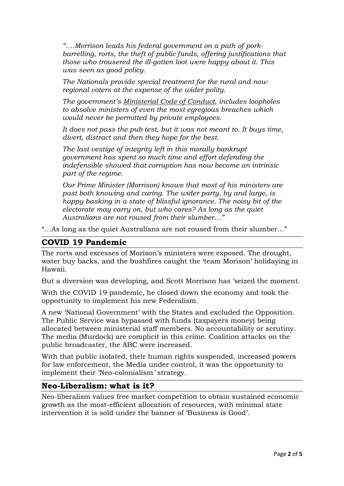"....Morrison leads his federal government on a path of [pork](https://independentaustralia.net/politics/politics-display/rorts-and-pork-barrelling-are-the-new-normal-under-crime-minister-morrison,13519)*[barrelling,](https://independentaustralia.net/politics/politics-display/rorts-and-pork-barrelling-are-the-new-normal-under-crime-minister-morrison,13519) rorts, the theft of public funds, offering justifications that those who trousered the ill-gotten loot were happy about it. This was seen as good policy.*

*The Nationals provide special treatment for the rural and now regional voters at the expense of the wider polity.* 

*The government's [Ministerial Code of Conduct,](https://www.premiers.qld.gov.au/publications/categories/policies-and-codes/handbooks/ministerial-handbook/assets/appendix-1.pdf) includes loopholes to absolve ministers of even the most egregious breaches which would never be permitted by private employees.*

*It does not pass the pub test, but it was not meant to. It buys time, divert, distract and then they hope for the best.* 

*The last vestige of integrity left in this morally bankrupt government has spent so much time and effort defending the indefensible showed that corruption has now become an intrinsic part of the regime.*

*Our Prime Minister (Morrison) knows that most of his ministers are past both knowing and caring. The wider party, by and large, is happy basking in a state of blissful ignorance. The noisy bit of the electorate may carry on, but who cares? As long as the quiet Australians are not roused from their slumber…"*

"…As long as the quiet Australians are not roused from their slumber…"

## **COVID 19 Pandemic**

The rorts and excesses of Morison's ministers were exposed. The drought, water buy backs, and the bushfires caught the 'team Morison' holidaying in Hawaii.

But a diversion was developing, and Scott Morrison has 'seized the moment.

With the COVID 19 pandemic, he closed down the economy and took the opportunity to implement his new Federalism.

A new 'National Government' with the States and excluded the Opposition. The Public Service was bypassed with funds (taxpayers money) being allocated between ministerial staff members. No accountability or scrutiny. The media (Murdock) are complicit in this crime. Coalition attacks on the public broadcaster, the ABC were increased.

With that public isolated, their human rights suspended, increased powers for law enforcement, the Media under control, it was the opportunity to implement their 'Neo-colonialism*'* strategy.

### **Neo-Liberalism: what is it?**

Neo-liberalism values [free market](https://www.britannica.com/topic/free-market) competition to obtain sustained [economic](https://www.britannica.com/topic/economic-growth)  [growth](https://www.britannica.com/topic/economic-growth) as the most-efficient [allocation of resources,](https://www.britannica.com/topic/allocation-of-resources) with minimal state intervention it is sold under the banner of 'Business is Good'.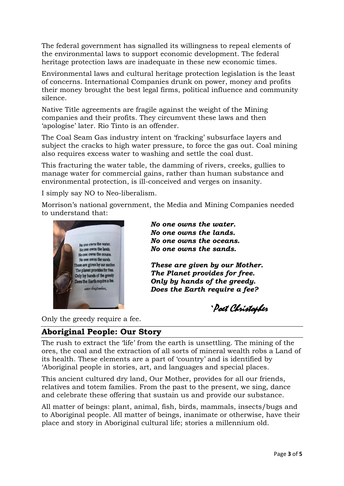The federal government has signalled its willingness to repeal elements of the environmental laws to support economic development. The federal heritage protection laws are inadequate in these new economic times.

Environmental laws and cultural heritage protection legislation is the least of concerns. International Companies drunk on power, money and profits their money brought the best legal firms, political influence and community silence.

Native Title agreements are fragile against the weight of the Mining companies and their profits. They circumvent these laws and then 'apologise' later. Rio Tinto is an offender.

The Coal Seam Gas industry intent on 'fracking' subsurface layers and subject the cracks to high water pressure, to force the gas out. Coal mining also requires excess water to washing and settle the coal dust.

This fracturing the water table, the damming of rivers, creeks, gullies to manage water for commercial gains, rather than human substance and environmental protection, is ill-conceived and verges on insanity.

I simply say NO to Neo-liberalism.

Morrison's national government, the Media and Mining Companies needed to understand that:



*No one owns the water. No one owns the lands. No one owns the oceans. No one owns the sands.*

*These are given by our Mother. The Planet provides for free. Only by hands of the greedy. Does the Earth require a fee?*

`Poet Christopher

Only the greedy require a fee.

#### **Aboriginal People: Our Story**

The rush to extract the 'life' from the earth is unsettling. The mining of the ores, the coal and the extraction of all sorts of mineral wealth robs a Land of its health. These elements are a part of 'country' and is identified by 'Aboriginal people in stories, art, and languages and special places.

This ancient cultured dry land, Our Mother, provides for all our friends, relatives and totem families. From the past to the present, we sing, dance and celebrate these offering that sustain us and provide our substance.

All matter of beings: plant, animal, fish, birds, mammals, insects/bugs and to Aboriginal people. All matter of beings, inanimate or otherwise, have their place and story in Aboriginal cultural life; stories a millennium old.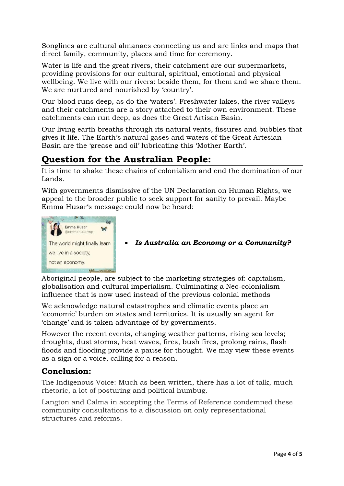Songlines are cultural almanacs connecting us and are links and maps that direct family, community, places and time for ceremony.

Water is life and the great rivers, their catchment are our supermarkets, providing provisions for our cultural, spiritual, emotional and physical wellbeing. We live with our rivers: beside them, for them and we share them. We are nurtured and nourished by 'country'.

Our blood runs deep, as do the 'waters'. Freshwater lakes, the river valleys and their catchments are a story attached to their own environment. These catchments can run deep, as does the Great Artisan Basin.

Our living earth breaths through its natural vents, fissures and bubbles that gives it life. The Earth's natural gases and waters of the Great Artesian Basin are the 'grease and oil' lubricating this 'Mother Earth'.

# **Question for the Australian People:**

It is time to shake these chains of colonialism and end the domination of our Lands.

With governments dismissive of the UN Declaration on Human Rights, we appeal to the broader public to seek support for sanity to prevail. Maybe Emma Husar's message could now be heard:



*Is Australia an Economy or a Community?*

Aboriginal people, are subject to the marketing strategies of: capitalism, globalisation and cultural imperialism. Culminating a Neo-colonialism influence that is now used instead of the previous colonial methods

We acknowledge natural catastrophes and climatic events place an 'economic' burden on states and territories. It is usually an agent for 'change' and is taken advantage of by governments.

However the recent events, changing weather patterns, rising sea levels; droughts, dust storms, heat waves, fires, bush fires, prolong rains, flash floods and flooding provide a pause for thought. We may view these events as a sign or a voice, calling for a reason.

### **Conclusion:**

The Indigenous Voice: Much as been written, there has a lot of talk, much rhetoric, a lot of posturing and political humbug.

Langton and Calma in accepting the Terms of Reference condemned these community consultations to a discussion on only representational structures and reforms.